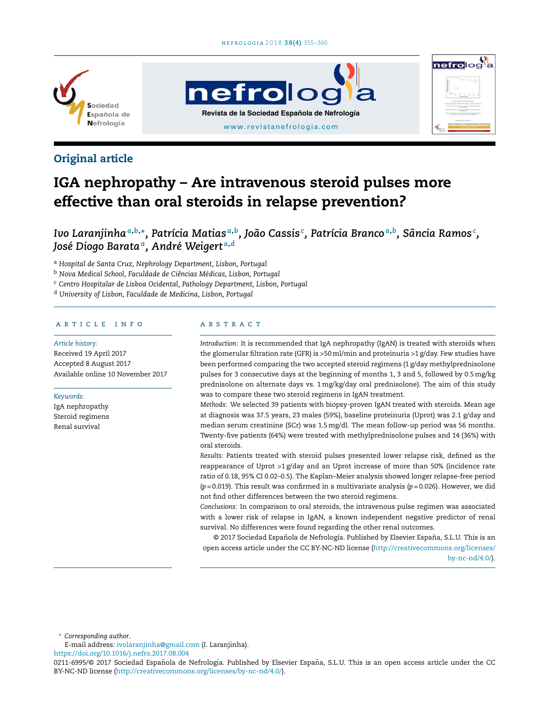**nefrolog** 

[www.revistanefrologia.com](http://www.revistanefrologia.com) **Revista de la Sociedad Española de Nefrología**



# Original article

# IGA nephropathy – Are intravenous steroid pulses more effective than oral steroids in relapse prevention?

Ivo Laranjinha $^{a,b,*}$ , Patrícia Matias $^{a,b}$ , João Cassis $^{\mathfrak c}$ , Patrícia Branco $^{a,b}$ , Sância Ramos $^{\mathfrak c}$ , *José Diogo Barata<sup>a</sup> , André Weigert <sup>a</sup>*,*<sup>d</sup>*

<sup>a</sup> *Hospital de Santa Cruz, Nephrology Department, Lisbon, Portugal*

<sup>b</sup> *Nova Medical School, Faculdade de Ciências Médicas, Lisbon, Portugal*

<sup>c</sup> *Centro Hospitalar de Lisboa Ocidental, Pathology Department, Lisbon, Portugal*

<sup>d</sup> *University of Lisbon, Faculdade de Medicina, Lisbon, Portugal*

# a r t i c l e i n f o

*Article history:* Received 19 April 2017 Accepted 8 August 2017 Available online 10 November 2017

*Keywords:*

IgA nephropathy Steroid regimens Renal survival

### A B S T R A C T

*Introduction:* It is recommended that IgA nephropathy (IgAN) is treated with steroids when the glomerular filtration rate (GFR) is >50ml/min and proteinuria >1 g/day. Few studies have been performed comparing the two accepted steroid regimens (1 g/day methylprednisolone pulses for 3 consecutive days at the beginning of months 1, 3 and 5, followed by 0.5mg/kg prednisolone on alternate days vs. 1mg/kg/day oral prednisolone). The aim of this study was to compare these two steroid regimens in IgAN treatment.

nefrolog

*Methods:* We selected 39 patients with biopsy-proven IgAN treated with steroids. Mean age at diagnosis was 37.5 years, 23 males (59%), baseline proteinuria (Uprot) was 2.1 g/day and median serum creatinine (SCr) was 1.5mg/dl. The mean follow-up period was 56 months. Twenty-five patients (64%) were treated with methylprednisolone pulses and 14 (36%) with oral steroids.

*Results:* Patients treated with steroid pulses presented lower relapse risk, defined as the reappearance of Uprot  $>1$  g/day and an Uprot increase of more than 50% (incidence rate ratio of 0.18, 95% CI 0.02–0.5). The Kaplan–Meier analysis showed longer relapse-free period (*p* = 0.019). This result was confirmed in a multivariate analysis (*p* = 0.026). However, we did not find other differences between the two steroid regimens.

*Conclusions:* In comparison to oral steroids, the intravenous pulse regimen was associated with a lower risk of relapse in IgAN, a known independent negative predictor of renal survival. No differences were found regarding the other renal outcomes.

© 2017 Sociedad Española de Nefrología. Published by Elsevier España, S.L.U. This is an open access article under the CC BY-NC-ND license [\(http://creativecommons.org/licenses/](http://creativecommons.org/licenses/by-nc-nd/4.0/) [by-nc-nd/4.0/\)](http://creativecommons.org/licenses/by-nc-nd/4.0/).

<sup>∗</sup> *Corresponding author*.

E-mail address: [ivolaranjinha@gmail.com](mailto:ivolaranjinha@gmail.com) (I. Laranjinha).

<https://doi.org/10.1016/j.nefro.2017.08.004>

<sup>0211-6995/© 2017</sup> Sociedad Española de Nefrología. Published by Elsevier España, S.L.U. This is an open access article under the CC BY-NC-ND license (<http://creativecommons.org/licenses/by-nc-nd/4.0/>).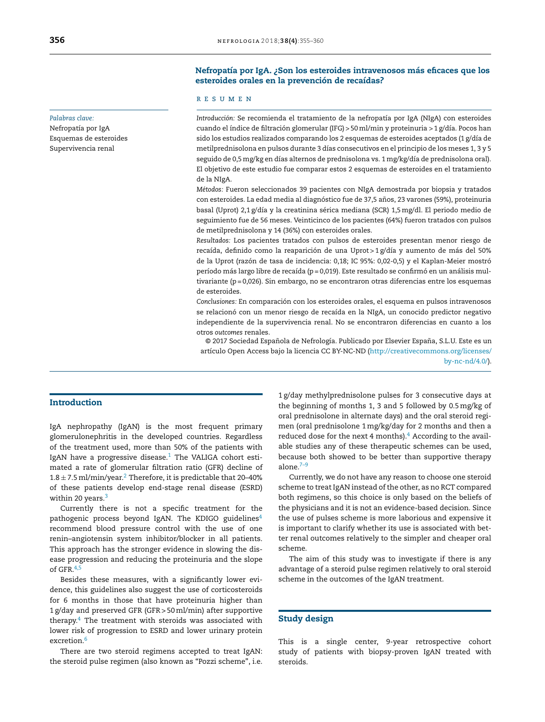## *Palabras clave:*

Nefropatía por IgA Esquemas de esteroides Supervivencia renal

# Nefropatía por IgA. ¿Son los esteroides intravenosos más eficaces que los esteroides orales en la prevención de recaídas?

## r e s u m e n

*Introducción:* Se recomienda el tratamiento de la nefropatía por IgA (NIgA) con esteroides cuando el índice de filtración glomerular (IFG) > 50ml/min y proteinuria > 1 g/día. Pocos han sido los estudios realizados comparando los 2 esquemas de esteroides aceptados (1 g/día de metilprednisolona en pulsos durante 3 días consecutivos en el principio de los meses 1, 3 y 5 seguido de 0,5mg/kg en días alternos de prednisolona vs. 1 mg/kg/día de prednisolona oral). El objetivo de este estudio fue comparar estos 2 esquemas de esteroides en el tratamiento de la NIgA.

*Métodos:* Fueron seleccionados 39 pacientes con NIgA demostrada por biopsia y tratados con esteroides. La edad media al diagnóstico fue de 37,5 años, 23 varones (59%), proteinuria basal (Uprot) 2,1 g/día y la creatinina sérica mediana (SCR) 1,5mg/dl. El periodo medio de seguimiento fue de 56 meses. Veinticinco de los pacientes (64%) fueron tratados con pulsos de metilprednisolona y 14 (36%) con esteroides orales.

*Resultados:* Los pacientes tratados con pulsos de esteroides presentan menor riesgo de recaída, definido como la reaparición de una Uprot > 1 g/día y aumento de más del 50% de la Uprot (razón de tasa de incidencia: 0,18; IC 95%: 0,02-0,5) y el Kaplan-Meier mostró período más largo libre de recaída (p = 0,019). Este resultado se confirmó en un análisis multivariante (p = 0,026). Sin embargo, no se encontraron otras diferencias entre los esquemas de esteroides.

*Conclusiones:* En comparación con los esteroides orales, el esquema en pulsos intravenosos se relacionó con un menor riesgo de recaída en la NIgA, un conocido predictor negativo independiente de la supervivencia renal. No se encontraron diferencias en cuanto a los otros *outcomes* renales.

© 2017 Sociedad Española de Nefrología. Publicado por Elsevier España, S.L.U. Este es un artículo Open Access bajo la licencia CC BY-NC-ND [\(http://creativecommons.org/licenses/](http://creativecommons.org/licenses/by-nc-nd/4.0/)

[by-nc-nd/4.0/\)](http://creativecommons.org/licenses/by-nc-nd/4.0/).

# Introduction

IgA nephropathy (IgAN) is the most frequent primary glomerulonephritis in the developed countries. Regardless of the treatment used, more than 50% of the patients with IgAN have a progressive disease. $1$  The VALIGA cohort estimated a rate of glomerular filtration ratio (GFR) decline of  $1.8 \pm 7.5$  ml/min/year. $^2$  $^2$  Therefore, it is predictable that 20–40% of these patients develop end-stage renal disease (ESRD) within 20 years.<sup>[3](#page-5-0)</sup>

Currently there is not a specific treatment for the pathogenic process beyond IgAN. The KDIGO guidelines<sup>[4](#page-5-0)</sup> recommend blood pressure control with the use of one renin–angiotensin system inhibitor/blocker in all patients. This approach has the stronger evidence in slowing the disease progression and reducing the proteinuria and the slope of GFR.<sup>[4,5](#page-5-0)</sup>

Besides these measures, with a significantly lower evidence, this guidelines also suggest the use of corticosteroids for 6 months in those that have proteinuria higher than 1 g/day and preserved GFR (GFR > 50ml/min) after supportive therapy.[4](#page-5-0) The treatment with steroids was associated with lower risk of progression to ESRD and lower urinary protein excretion.<sup>[6](#page-5-0)</sup>

There are two steroid regimens accepted to treat IgAN: the steroid pulse regimen (also known as "Pozzi scheme", i.e. 1 g/day methylprednisolone pulses for 3 consecutive days at the beginning of months 1, 3 and 5 followed by 0.5mg/kg of oral prednisolone in alternate days) and the oral steroid regimen (oral prednisolone 1 mg/kg/day for 2 months and then a reduced dose for the next 4 months). $4$  [A](#page-5-0)ccording to the available studies any of these therapeutic schemes can be used, because both showed to be better than supportive therapy alone. $7-9$ 

Currently, we do not have any reason to choose one steroid scheme to treat IgAN instead of the other, as no RCT compared both regimens, so this choice is only based on the beliefs of the physicians and it is not an evidence-based decision. Since the use of pulses scheme is more laborious and expensive it is important to clarify whether its use is associated with better renal outcomes relatively to the simpler and cheaper oral scheme.

The aim of this study was to investigate if there is any advantage of a steroid pulse regimen relatively to oral steroid scheme in the outcomes of the IgAN treatment.

# Study design

This is a single center, 9-year retrospective cohort study of patients with biopsy-proven IgAN treated with steroids.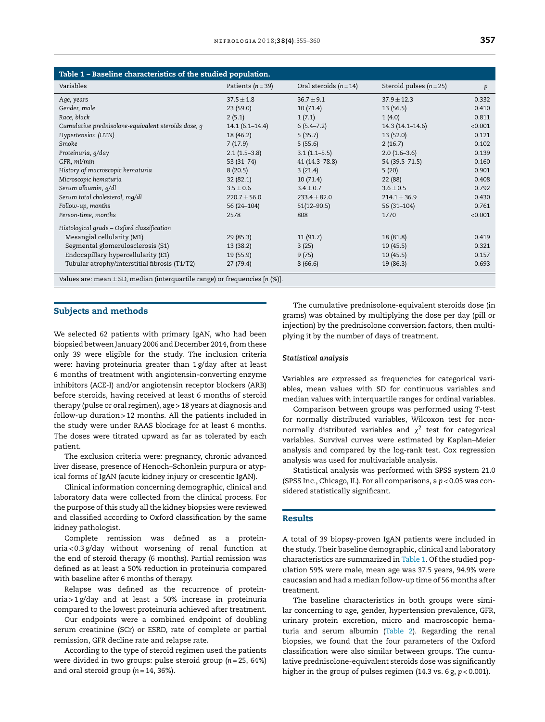| Table 1 - Baseline characteristics of the studied population.                   |                    |                          |                           |         |  |  |  |  |  |
|---------------------------------------------------------------------------------|--------------------|--------------------------|---------------------------|---------|--|--|--|--|--|
| Variables                                                                       | Patients $(n=39)$  | Oral steroids $(n = 14)$ | Steroid pulses $(n = 25)$ | p       |  |  |  |  |  |
| Age, years                                                                      | $37.5 \pm 1.8$     | $36.7 + 9.1$             | $37.9 + 12.3$             | 0.332   |  |  |  |  |  |
| Gender, male                                                                    | 23(59.0)           | 10(71.4)                 | 13(56.5)                  | 0.410   |  |  |  |  |  |
| Race, black                                                                     | 2(5.1)             | 1(7.1)                   | 1(4.0)                    | 0.811   |  |  |  |  |  |
| Cumulative prednisolone-equivalent steroids dose, q                             | $14.1(6.1 - 14.4)$ | $6(5.4 - 7.2)$           | $14.3(14.1 - 14.6)$       | < 0.001 |  |  |  |  |  |
| Hypertension (HTN)                                                              | 18 (46.2)          | 5(35.7)                  | 13(52.0)                  | 0.121   |  |  |  |  |  |
| Smoke                                                                           | 7(17.9)            | 5(55.6)                  | 2(16.7)                   | 0.102   |  |  |  |  |  |
| Proteinuria, g/day                                                              | $2.1(1.5-3.8)$     | $3.1(1.1-5.5)$           | $2.0(1.6-3.6)$            | 0.139   |  |  |  |  |  |
| GFR, ml/min                                                                     | $53(31-74)$        | 41 (14.3-78.8)           | 54 (39.5 - 71.5)          | 0.160   |  |  |  |  |  |
| History of macroscopic hematuria                                                | 8(20.5)            | 3(21.4)                  | 5(20)                     | 0.901   |  |  |  |  |  |
| Microscopic hematuria                                                           | 32(82.1)           | 10(71.4)                 | 22 (88)                   | 0.408   |  |  |  |  |  |
| Serum albumin, g/dl                                                             | $3.5 \pm 0.6$      | $3.4 \pm 0.7$            | $3.6 \pm 0.5$             | 0.792   |  |  |  |  |  |
| Serum total cholesterol, mq/dl                                                  | $220.7 \pm 56.0$   | $233.4 \pm 82.0$         | $214.1 \pm 36.9$          | 0.430   |  |  |  |  |  |
| Follow-up, months                                                               | 56 (24-104)        | $51(12 - 90.5)$          | $56(31-104)$              | 0.761   |  |  |  |  |  |
| Person-time, months                                                             | 2578               | 808                      | 1770                      | < 0.001 |  |  |  |  |  |
| Histological grade - Oxford classification                                      |                    |                          |                           |         |  |  |  |  |  |
| Mesangial cellularity (M1)                                                      | 29(85.3)           | 11(91.7)                 | 18 (81.8)                 | 0.419   |  |  |  |  |  |
| Segmental glomerulosclerosis (S1)                                               | 13 (38.2)          | 3(25)                    | 10(45.5)                  | 0.321   |  |  |  |  |  |
| Endocapillary hypercellularity (E1)                                             | 19 (55.9)          | 9(75)                    | 10(45.5)                  | 0.157   |  |  |  |  |  |
| Tubular atrophy/interstitial fibrosis (T1/T2)                                   | 27(79.4)           | 8(66.6)                  | 19 (86.3)                 | 0.693   |  |  |  |  |  |
| Values are: mean $\pm$ SD, median (interquartile range) or frequencies [n (%)]. |                    |                          |                           |         |  |  |  |  |  |

#### Subjects and methods

We selected 62 patients with primary IgAN, who had been biopsied between January 2006 and December 2014, from these only 39 were eligible for the study. The inclusion criteria were: having proteinuria greater than 1 g/day after at least 6 months of treatment with angiotensin-converting enzyme inhibitors (ACE-I) and/or angiotensin receptor blockers (ARB) before steroids, having received at least 6 months of steroid therapy (pulse or oral regimen), age > 18 years at diagnosis and follow-up duration > 12 months. All the patients included in the study were under RAAS blockage for at least 6 months. The doses were titrated upward as far as tolerated by each patient.

The exclusion criteria were: pregnancy, chronic advanced liver disease, presence of Henoch–Schonlein purpura or atypical forms of IgAN (acute kidney injury or crescentic IgAN).

Clinical information concerning demographic, clinical and laboratory data were collected from the clinical process. For the purpose of this study all the kidney biopsies were reviewed and classified according to Oxford classification by the same kidney pathologist.

Complete remission was defined as a proteinuria < 0.3 g/day without worsening of renal function at the end of steroid therapy (6 months). Partial remission was defined as at least a 50% reduction in proteinuria compared with baseline after 6 months of therapy.

Relapse was defined as the recurrence of proteinuria > 1 g/day and at least a 50% increase in proteinuria compared to the lowest proteinuria achieved after treatment.

Our endpoints were a combined endpoint of doubling serum creatinine (SCr) or ESRD, rate of complete or partial remission, GFR decline rate and relapse rate.

According to the type of steroid regimen used the patients were divided in two groups: pulse steroid group (*n* = 25, 64%) and oral steroid group (*n* = 14, 36%).

The cumulative prednisolone-equivalent steroids dose (in grams) was obtained by multiplying the dose per day (pill or injection) by the prednisolone conversion factors, then multiplying it by the number of days of treatment.

#### *Statistical analysis*

Variables are expressed as frequencies for categorical variables, mean values with SD for continuous variables and median values with interquartile ranges for ordinal variables.

Comparison between groups was performed using *T*-test for normally distributed variables, Wilcoxon test for nonnormally distributed variables and  $\chi^2$  test for categorical variables. Survival curves were estimated by Kaplan–Meier analysis and compared by the log-rank test. Cox regression analysis was used for multivariable analysis.

Statistical analysis was performed with SPSS system 21.0 (SPSS Inc., Chicago, IL). For all comparisons, a *p* < 0.05 was considered statistically significant.

#### Results

A total of 39 biopsy-proven IgAN patients were included in the study. Their baseline demographic, clinical and laboratory characteristics are summarized in Table 1. Of the studied population 59% were male, mean age was 37.5 years, 94.9% were caucasian and had a median follow-up time of 56 months after treatment.

The baseline characteristics in both groups were similar concerning to age, gender, hypertension prevalence, GFR, urinary protein excretion, micro and macroscopic hematuria and serum albumin ([Table](#page-3-0) 2). Regarding the renal biopsies, we found that the four parameters of the Oxford classification were also similar between groups. The cumulative prednisolone-equivalent steroids dose was significantly higher in the group of pulses regimen (14.3 vs. 6 g, *p* < 0.001).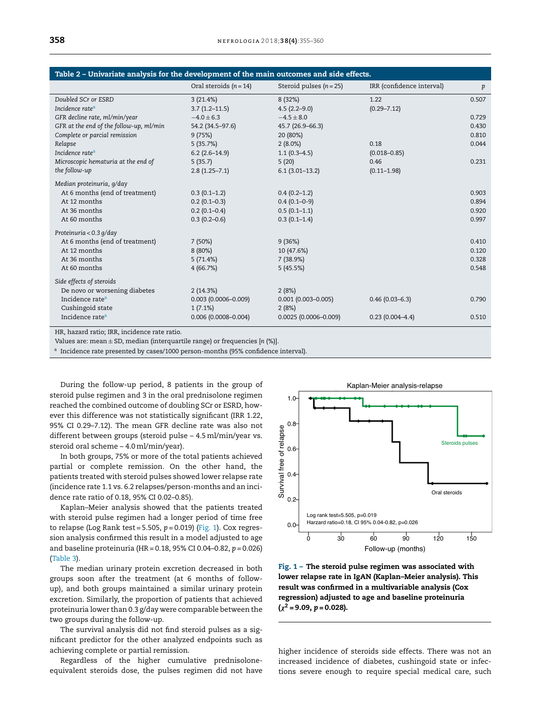<span id="page-3-0"></span>

| Table 2 - Univariate analysis for the development of the main outcomes and side effects. |                          |                           |                           |       |  |  |  |  |  |
|------------------------------------------------------------------------------------------|--------------------------|---------------------------|---------------------------|-------|--|--|--|--|--|
|                                                                                          | Oral steroids $(n = 14)$ | Steroid pulses $(n = 25)$ | IRR (confidence interval) | p     |  |  |  |  |  |
| Doubled SCr or ESRD                                                                      | 3(21.4%)                 | 8 (32%)                   | 1.22                      | 0.507 |  |  |  |  |  |
| Incidence rate <sup>a</sup>                                                              | $3.7(1.2 - 11.5)$        | $4.5(2.2 - 9.0)$          | $(0.29 - 7.12)$           |       |  |  |  |  |  |
| GFR decline rate, ml/min/year                                                            | $-4.0 \pm 6.3$           | $-4.5 \pm 8.0$            |                           | 0.729 |  |  |  |  |  |
| GFR at the end of the follow-up, ml/min                                                  | 54.2 (34.5-97.6)         | 45.7 (26.9–66.3)          |                           | 0.430 |  |  |  |  |  |
| Complete or parcial remission                                                            | 9(75%)                   | 20 (80%)                  |                           | 0.810 |  |  |  |  |  |
| Relapse                                                                                  | 5(35.7%)                 | $2(8.0\%)$                | 0.18                      | 0.044 |  |  |  |  |  |
| Incidence rate <sup>a</sup>                                                              | $6.2(2.6-14.9)$          | $1.1(0.3-4.5)$            | $(0.018 - 0.85)$          |       |  |  |  |  |  |
| Microscopic hematuria at the end of                                                      | 5(35.7)                  | 5(20)                     | 0.46                      | 0.231 |  |  |  |  |  |
| the follow-up                                                                            | $2.8(1.25 - 7.1)$        | $6.1(3.01-13.2)$          | $(0.11 - 1.98)$           |       |  |  |  |  |  |
| Median proteinuria, g/day                                                                |                          |                           |                           |       |  |  |  |  |  |
| At 6 months (end of treatment)                                                           | $0.3(0.1-1.2)$           | $0.4(0.2-1.2)$            |                           | 0.903 |  |  |  |  |  |
| At 12 months                                                                             | $0.2(0.1-0.3)$           | $0.4(0.1-0-9)$            |                           | 0.894 |  |  |  |  |  |
| At 36 months                                                                             | $0.2(0.1 - 0.4)$         | $0.5(0.1-1.1)$            |                           | 0.920 |  |  |  |  |  |
| At 60 months                                                                             | $0.3(0.2 - 0.6)$         | $0.3(0.1-1.4)$            |                           | 0.997 |  |  |  |  |  |
| Proteinuria < 0.3 g/day                                                                  |                          |                           |                           |       |  |  |  |  |  |
| At 6 months (end of treatment)                                                           | 7(50%)                   | 9(36%)                    |                           | 0.410 |  |  |  |  |  |
| At 12 months                                                                             | 8(80%)                   | 10 (47.6%)                |                           | 0.120 |  |  |  |  |  |
| At 36 months                                                                             | 5(71.4%)                 | 7 (38.9%)                 |                           | 0.328 |  |  |  |  |  |
| At 60 months                                                                             | 4(66.7%)                 | 5(45.5%)                  |                           | 0.548 |  |  |  |  |  |
| Side effects of steroids                                                                 |                          |                           |                           |       |  |  |  |  |  |
| De novo or worsening diabetes                                                            | 2(14.3%)                 | 2(8%)                     |                           |       |  |  |  |  |  |
| Incidence rate <sup>a</sup>                                                              | $0.003$ (0.0006-0.009)   | $0.001(0.003 - 0.005)$    | $0.46(0.03 - 6.3)$        | 0.790 |  |  |  |  |  |
| Cushingoid state                                                                         | 1(7.1%)                  | 2(8%)                     |                           |       |  |  |  |  |  |
| Incidence rate <sup>a</sup>                                                              | $0.006(0.0008 - 0.004)$  | $0.0025(0.0006 - 0.009)$  | $0.23(0.004-4.4)$         | 0.510 |  |  |  |  |  |
|                                                                                          |                          |                           |                           |       |  |  |  |  |  |

HR, hazard ratio; IRR, incidence rate ratio.

Values are: mean  $\pm$  SD, median (interquartile range) or frequencies [n (%)].

<sup>a</sup> Incidence rate presented by cases/1000 person-months (95% confidence interval).

During the follow-up period, 8 patients in the group of steroid pulse regimen and 3 in the oral prednisolone regimen reached the combined outcome of doubling SCr or ESRD, however this difference was not statistically significant (IRR 1.22, 95% CI 0.29-7.12). The mean GFR decline rate was also not different between groups (steroid pulse - 4.5 ml/min/year vs. steroid oral scheme - 4.0 ml/min/year).

In both groups, 75% or more of the total patients achieved partial or complete remission. On the other hand, the patients treated with steroid pulses showed lower relapse rate (incidence rate 1.1 vs. 6.2 relapses/person-months and an incidence rate ratio of 0.18, 95% CI 0.02-0.85).

Kaplan-Meier analysis showed that the patients treated with steroid pulse regimen had a longer period of time free to relapse (Log Rank test = 5.505,  $p = 0.019$ ) (Fig. 1). Cox regression analysis confirmed this result in a model adjusted to age and baseline proteinuria (HR = 0.18, 95% CI 0.04-0.82,  $p = 0.026$ ) (Table 3).

The median urinary protein excretion decreased in both groups soon after the treatment (at 6 months of followup), and both groups maintained a similar urinary protein excretion. Similarly, the proportion of patients that achieved proteinuria lower than 0.3 g/day were comparable between the two groups during the follow-up.

The survival analysis did not find steroid pulses as a significant predictor for the other analyzed endpoints such as achieving complete or partial remission.

Regardless of the higher cumulative prednisoloneequivalent steroids dose, the pulses regimen did not have



Fig. 1 - The steroid pulse regimen was associated with lower relapse rate in IgAN (Kaplan-Meier analysis). This result was confirmed in a multivariable analysis (Cox regression) adjusted to age and baseline proteinuria  $(x^2 = 9.09, p = 0.028)$ .

higher incidence of steroids side effects. There was not an increased incidence of diabetes, cushingoid state or infections severe enough to require special medical care, such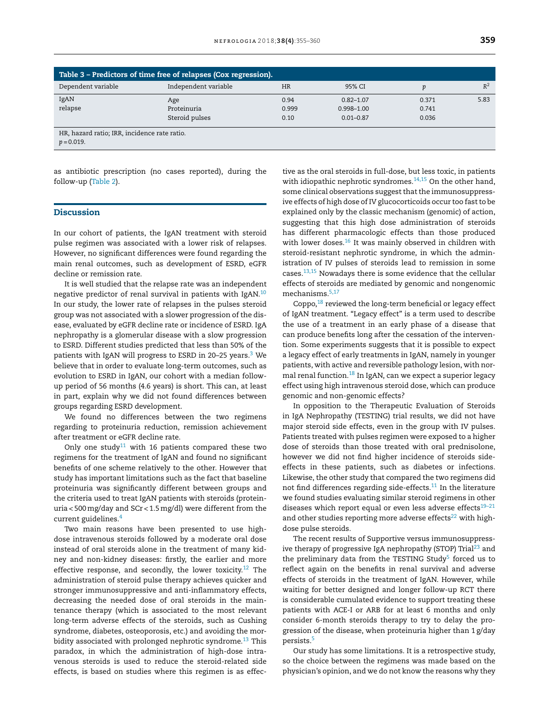<span id="page-4-0"></span>

| Table 3 - Predictors of time free of relapses (Cox regression). |                      |           |                |       |       |  |  |  |
|-----------------------------------------------------------------|----------------------|-----------|----------------|-------|-------|--|--|--|
| Dependent variable                                              | Independent variable | <b>HR</b> | 95% CI         | D     | $R^2$ |  |  |  |
| IgAN                                                            | Age                  | 0.94      | $0.82 - 1.07$  | 0.371 | 5.83  |  |  |  |
| relapse                                                         | Proteinuria          | 0.999     | $0.998 - 1.00$ | 0.741 |       |  |  |  |
|                                                                 | Steroid pulses       | 0.10      | $0.01 - 0.87$  | 0.036 |       |  |  |  |
| HR, hazard ratio; IRR, incidence rate ratio.                    |                      |           |                |       |       |  |  |  |
| $p = 0.019$ .                                                   |                      |           |                |       |       |  |  |  |

as antibiotic prescription (no cases reported), during the follow-up [\(Table](#page-3-0) 2).

## **Discussion**

In our cohort of patients, the IgAN treatment with steroid pulse regimen was associated with a lower risk of relapses. However, no significant differences were found regarding the main renal outcomes, such as development of ESRD, eGFR decline or remission rate.

It is well studied that the relapse rate was an independent negative predictor of renal survival in patients with IgAN.[10](#page-5-0) In our study, the lower rate of relapses in the pulses steroid group was not associated with a slower progression of the disease, evaluated by eGFR decline rate or incidence of ESRD. IgA nephropathy is a glomerular disease with a slow progression to ESRD. Different studies predicted that less than 50% of the patients with IgAN will progress to ESRD in 20–25 years.<sup>[3](#page-5-0)</sup> We believe that in order to evaluate long-term outcomes, such as evolution to ESRD in IgAN, our cohort with a median followup period of 56 months (4.6 years) is short. This can, at least in part, explain why we did not found differences between groups regarding ESRD development.

We found no differences between the two regimens regarding to proteinuria reduction, remission achievement after treatment or eGFR decline rate.

Only one study<sup>[11](#page-5-0)</sup> with 16 patients compared these two regimens for the treatment of IgAN and found no significant benefits of one scheme relatively to the other. However that study has important limitations such as the fact that baseline proteinuria was significantly different between groups and the criteria used to treat IgAN patients with steroids (proteinuria < 500mg/day and SCr < 1.5mg/dl) were different from the current guidelines.[4](#page-5-0)

Two main reasons have been presented to use highdose intravenous steroids followed by a moderate oral dose instead of oral steroids alone in the treatment of many kidney and non-kidney diseases: firstly, the earlier and more effective response, and secondly, the lower toxicity.<sup>[12](#page-5-0)</sup> The administration of steroid pulse therapy achieves quicker and stronger immunosuppressive and anti-inflammatory effects, decreasing the needed dose of oral steroids in the maintenance therapy (which is associated to the most relevant long-term adverse effects of the steroids, such as Cushing syndrome, diabetes, osteoporosis, etc.) and avoiding the mor-bidity associated with prolonged nephrotic syndrome.<sup>[13](#page-5-0)</sup> This paradox, in which the administration of high-dose intravenous steroids is used to reduce the steroid-related side effects, is based on studies where this regimen is as effec-

tive as the oral steroids in full-dose, but less toxic, in patients with idiopathic nephrotic syndromes. $14,15$  On the other hand, some clinical observations suggest that the immunosuppressive effects of high dose of IV glucocorticoids occur too fast to be explained only by the classic mechanism (genomic) of action, suggesting that this high dose administration of steroids has different pharmacologic effects than those produced with lower doses.<sup>[16](#page-5-0)</sup> It was mainly observed in children with steroid-resistant nephrotic syndrome, in which the administration of IV pulses of steroids lead to remission in some cases.[13,15](#page-5-0) Nowadays there is some evidence that the cellular effects of steroids are mediated by genomic and nongenomic mechanisms.<sup>[5,17](#page-5-0)</sup>

Coppo,<sup>[18](#page-5-0)</sup> reviewed the long-term beneficial or legacy effect of IgAN treatment. "Legacy effect" is a term used to describe the use of a treatment in an early phase of a disease that can produce benefits long after the cessation of the intervention. Some experiments suggests that it is possible to expect a legacy effect of early treatments in IgAN, namely in younger patients, with active and reversible pathology lesion, with nor-mal renal function.<sup>[18](#page-5-0)</sup> In IgAN, can we expect a superior legacy effect using high intravenous steroid dose, which can produce genomic and non-genomic effects?

In opposition to the Therapeutic Evaluation of Steroids in IgA Nephropathy (TESTING) trial results, we did not have major steroid side effects, even in the group with IV pulses. Patients treated with pulses regimen were exposed to a higher dose of steroids than those treated with oral prednisolone, however we did not find higher incidence of steroids sideeffects in these patients, such as diabetes or infections. Likewise, the other study that compared the two regimens did not find differences regarding side-effects. $11$  In the literature we found studies evaluating similar steroid regimens in other diseases which report equal or even less adverse effects<sup>19-21</sup> and other studies reporting more adverse effects $22$  with highdose pulse steroids.

The recent results of Supportive versus immunosuppress-ive therapy of progressive IgA nephropathy (STOP) Trial<sup>[23](#page-5-0)</sup> and the preliminary data from the TESTING Study<sup>[5](#page-5-0)</sup> forced us to reflect again on the benefits in renal survival and adverse effects of steroids in the treatment of IgAN. However, while waiting for better designed and longer follow-up RCT there is considerable cumulated evidence to support treating these patients with ACE-I or ARB for at least 6 months and only consider 6-month steroids therapy to try to delay the progression of the disease, when proteinuria higher than 1 g/day persists.[5](#page-5-0)

Our study has some limitations. It is a retrospective study, so the choice between the regimens was made based on the physician's opinion, and we do not know the reasons why they